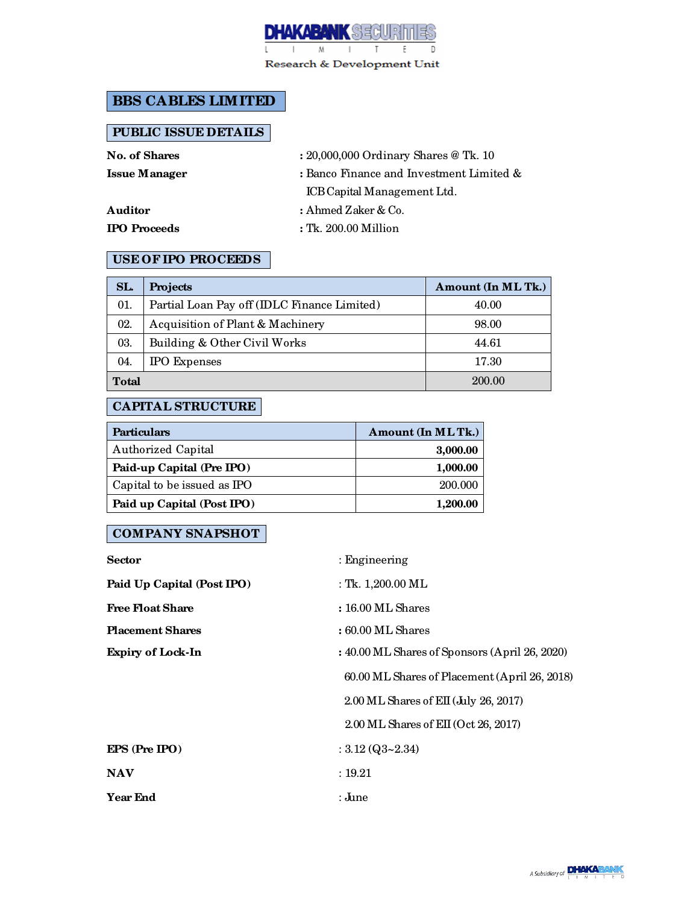

Research & Development Unit

# **BBS CABLES LIMITED**

### **PUBLIC ISSUE DETAILS**

**No. of Shares :** 20,000,000 Ordinary Shares @ Tk. 10

**Issue Manager :** Banco Finance and Investment Limited & ICB Capital Management Ltd.

**Auditor :** Ahmed Zaker & Co.

**IPO Proceeds :** Tk. 200.00 Million

#### **USE OF IPO PROCEEDS**

| SL.          | Projects                                    | Amount (In ML Tk.) |
|--------------|---------------------------------------------|--------------------|
| 01.          | Partial Loan Pay off (IDLC Finance Limited) | 40.00              |
| 02.          | Acquisition of Plant & Machinery            | 98.00              |
| 03.          | Building & Other Civil Works                | 44.61              |
| 04.          | <b>IPO</b> Expenses                         | 17.30              |
| <b>Total</b> |                                             | 200.00             |

## **CAPITAL STRUCTURE**

| <b>Particulars</b>          | Amount (In MLTk.) |
|-----------------------------|-------------------|
| <b>Authorized Capital</b>   | 3,000.00          |
| Paid-up Capital (Pre IPO)   | 1,000.00          |
| Capital to be issued as IPO | 200.000           |
| Paid up Capital (Post IPO)  | 1,200.00          |

# **COMPANY SNAPSHOT**

| <b>Sector</b>              | $:$ Engineering                                |
|----------------------------|------------------------------------------------|
| Paid Up Capital (Post IPO) | : Tk. $1,200.00$ ML                            |
| <b>Free Float Share</b>    | $: 16.00 \text{ ML Shares}$                    |
| <b>Placement Shares</b>    | $: 60.00$ ML Shares                            |
| <b>Expiry of Lock-In</b>   | : 40.00 ML Shares of Sponsors (April 26, 2020) |
|                            | 60.00 ML Shares of Placement (April 26, 2018)  |
|                            | 2.00 ML Shares of EII (July 26, 2017)          |
|                            | $2.00$ ML Shares of EII (Oct 26, 2017)         |
| EPS (Pre IPO)              | : $3.12 \, (Q3 - 2.34)$                        |
| <b>NAV</b>                 | : 19.21                                        |
| <b>Year End</b>            | : June                                         |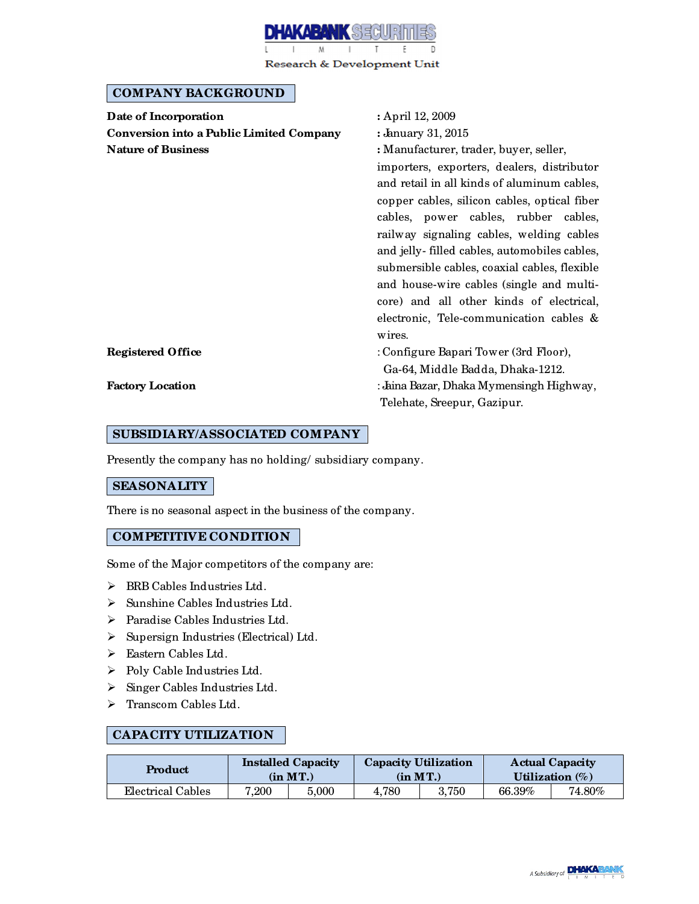

Research & Development Unit

#### **COMPANY BACKGROUND**

| Date of Incorporation                           | : April 12, 2009                                                                            |  |  |  |
|-------------------------------------------------|---------------------------------------------------------------------------------------------|--|--|--|
| <b>Conversion into a Public Limited Company</b> | : January 31, 2015                                                                          |  |  |  |
| <b>Nature of Business</b>                       | : Manufacturer, trader, buyer, seller,                                                      |  |  |  |
|                                                 | importers, exporters, dealers, distributor                                                  |  |  |  |
|                                                 | and retail in all kinds of aluminum cables,<br>copper cables, silicon cables, optical fiber |  |  |  |
|                                                 |                                                                                             |  |  |  |
|                                                 | cables, power cables, rubber cables,                                                        |  |  |  |
|                                                 | railway signaling cables, welding cables                                                    |  |  |  |
|                                                 | and jelly-filled cables, automobiles cables,                                                |  |  |  |
|                                                 | submersible cables, coaxial cables, flexible                                                |  |  |  |
|                                                 | and house-wire cables (single and multi-                                                    |  |  |  |
|                                                 | core) and all other kinds of electrical,                                                    |  |  |  |
|                                                 | electronic, Tele-communication cables &                                                     |  |  |  |
|                                                 | wires.                                                                                      |  |  |  |
| <b>Registered Office</b>                        | : Configure Bapari Tower (3rd Floor),                                                       |  |  |  |
|                                                 | Ga-64, Middle Badda, Dhaka-1212.                                                            |  |  |  |
| <b>Factory Location</b>                         | : Jaina Bazar, Dhaka Mymensingh Highway,                                                    |  |  |  |
|                                                 | Telehate, Sreepur, Gazipur.                                                                 |  |  |  |
|                                                 |                                                                                             |  |  |  |

### **SUBSIDIARY/ASSOCIATED COMPANY**

Presently the company has no holding/ subsidiary company.

### **SEASONALITY**

There is no seasonal aspect in the business of the company.

#### **COMPETITIVE CONDITION**

Some of the Major competitors of the company are:

- > BRB Cables Industries Ltd.
- $\triangleright$  Sunshine Cables Industries Ltd.
- > Paradise Cables Industries Ltd.
- $\triangleright$  Supersign Industries (Electrical) Ltd.
- > Eastern Cables Ltd.
- $\triangleright$  Poly Cable Industries Ltd.
- $\triangleright$  Singer Cables Industries Ltd.
- > Transcom Cables Ltd.

### **CAPACITY UTILIZATION**

| Product           |           | <b>Installed Capacity</b><br>(in MT.) | <b>Capacity Utilization</b> | $(in$ $MT.)$ | <b>Actual Capacity</b><br>Utilization $(\%)$ |           |
|-------------------|-----------|---------------------------------------|-----------------------------|--------------|----------------------------------------------|-----------|
| Electrical Cables | $7.200\,$ | 5.000                                 | 4.780                       | 3.750        | 66.39%                                       | $74.80\%$ |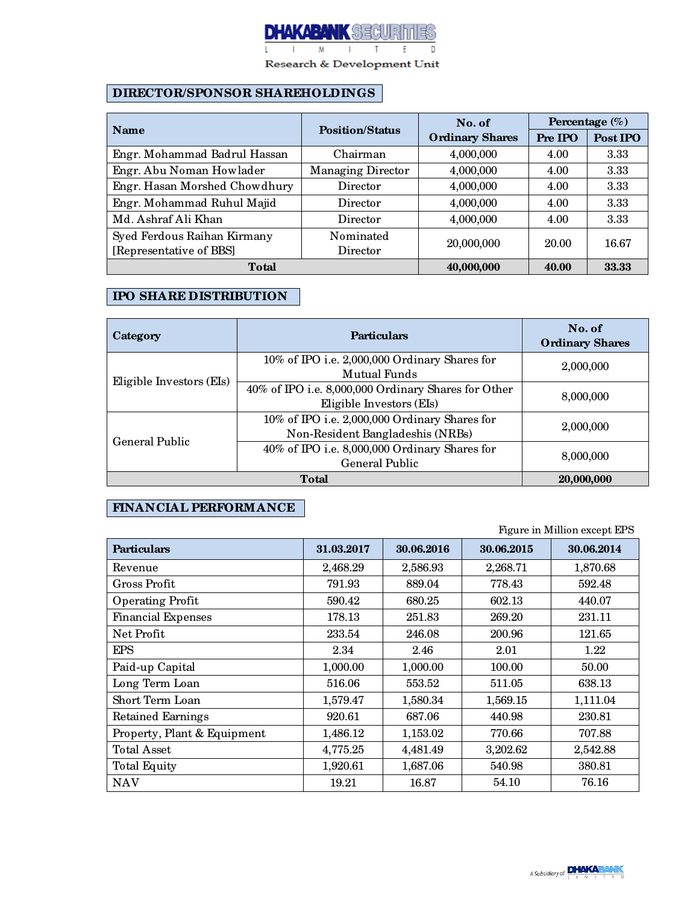

Research & Development Unit

## **DIRECTOR/SPONSOR SHAREHOLDINGS**

|                               |                          | No. of                 | Percentage $(\% )$ |          |
|-------------------------------|--------------------------|------------------------|--------------------|----------|
| <b>Name</b>                   | <b>Position/Status</b>   | <b>Ordinary Shares</b> | Pre IPO            | Post IPO |
| Engr. Mohammad Badrul Hassan  | Chairman                 | 4,000,000              | 4.00               | 3.33     |
| Engr. Abu Noman Howlader      | <b>Managing Director</b> | 4,000,000              | 4.00               | 3.33     |
| Engr. Hasan Morshed Chowdhury | Director                 | 4,000,000              | 4.00               | 3.33     |
| Engr. Mohammad Ruhul Majid    | Director                 | 4,000,000              | 4.00               | 3.33     |
| Md. Ashraf Ali Khan           | Director                 | 4,000,000              | 4.00               | 3.33     |
| Syed Ferdous Raihan Kirmany   | Nominated                | 20,000,000             | 20.00              | 16.67    |
| [Representative of BBS]       | Director                 |                        |                    |          |
| <b>Total</b>                  |                          | 40,000,000             | 40.00              | 33.33    |

## **IPO SHARE DISTRIBUTION**

| Category                 | <b>Particulars</b>                                                                | No. of<br><b>Ordinary Shares</b> |
|--------------------------|-----------------------------------------------------------------------------------|----------------------------------|
| Eligible Investors (EIs) | 10% of IPO i.e. 2,000,000 Ordinary Shares for<br>Mutual Funds                     | 2,000,000                        |
|                          | 40% of IPO i.e. 8,000,000 Ordinary Shares for Other<br>Eligible Investors (EIs)   | 8,000,000                        |
| General Public           | 10% of IPO i.e. 2,000,000 Ordinary Shares for<br>Non-Resident Bangladeshis (NRBs) | 2,000,000                        |
|                          | 40% of IPO i.e. 8,000,000 Ordinary Shares for<br>General Public                   | 8,000,000                        |
|                          | 20,000,000                                                                        |                                  |

# **FINANCIAL PERFORMANCE**

Figure in Million except EPS

| <b>Particulars</b>          | 31.03.2017 | 30.06.2016 | 30.06.2015 | 30.06.2014 |
|-----------------------------|------------|------------|------------|------------|
| Revenue                     | 2,468.29   | 2,586.93   | 2,268.71   | 1,870.68   |
| Gross Profit                | 791.93     | 889.04     | 778.43     | 592.48     |
| <b>Operating Profit</b>     | 590.42     | 680.25     | 602.13     | 440.07     |
| <b>Financial Expenses</b>   | 178.13     | 251.83     | 269.20     | 231.11     |
| Net Profit                  | 233.54     | 246.08     | 200.96     | 121.65     |
| <b>EPS</b>                  | 2.34       | 2.46       | 2.01       | $1.22\,$   |
| Paid-up Capital             | 1,000.00   | 1,000.00   | 100.00     | 50.00      |
| Long Term Loan              | 516.06     | 553.52     | 511.05     | 638.13     |
| Short Term Loan             | 1,579.47   | 1,580.34   | 1,569.15   | 1,111.04   |
| Retained Earnings           | 920.61     | 687.06     | 440.98     | 230.81     |
| Property, Plant & Equipment | 1,486.12   | 1,153.02   | 770.66     | 707.88     |
| <b>Total Asset</b>          | 4,775.25   | 4,481.49   | 3,202.62   | 2,542.88   |
| <b>Total Equity</b>         | 1,920.61   | 1,687.06   | 540.98     | 380.81     |
| <b>NAV</b>                  | 19.21      | 16.87      | 54.10      | 76.16      |